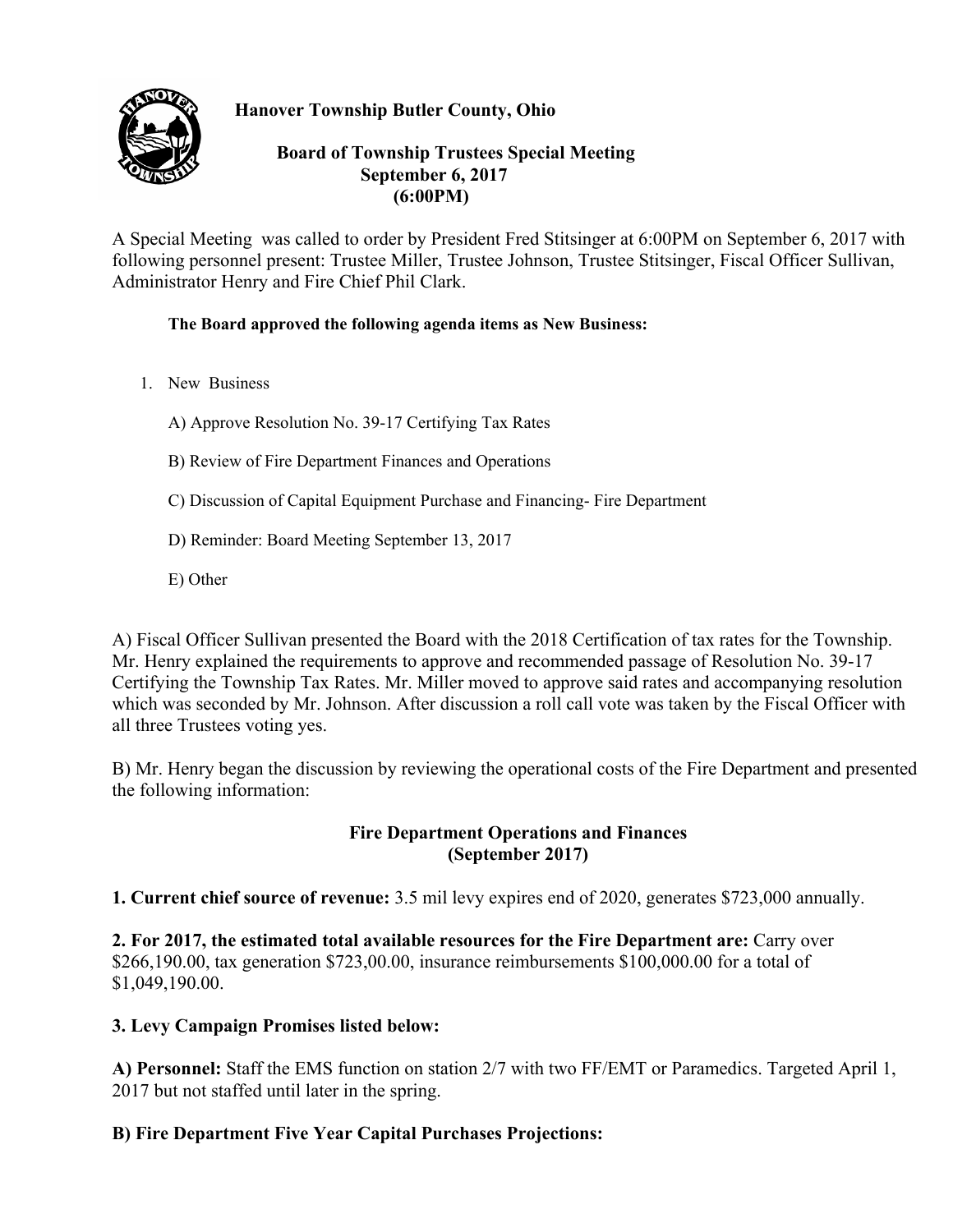

**Hanover Township Butler County, Ohio** 

#### **Board of Township Trustees Special Meeting September 6, 2017 (6:00PM)**

A Special Meeting was called to order by President Fred Stitsinger at 6:00PM on September 6, 2017 with following personnel present: Trustee Miller, Trustee Johnson, Trustee Stitsinger, Fiscal Officer Sullivan, Administrator Henry and Fire Chief Phil Clark.

#### **The Board approved the following agenda items as New Business:**

1. New Business

A) Approve Resolution No. 39-17 Certifying Tax Rates

- B) Review of Fire Department Finances and Operations
- C) Discussion of Capital Equipment Purchase and Financing- Fire Department
- D) Reminder: Board Meeting September 13, 2017
- E) Other

A) Fiscal Officer Sullivan presented the Board with the 2018 Certification of tax rates for the Township. Mr. Henry explained the requirements to approve and recommended passage of Resolution No. 39-17 Certifying the Township Tax Rates. Mr. Miller moved to approve said rates and accompanying resolution which was seconded by Mr. Johnson. After discussion a roll call vote was taken by the Fiscal Officer with all three Trustees voting yes.

B) Mr. Henry began the discussion by reviewing the operational costs of the Fire Department and presented the following information:

# **Fire Department Operations and Finances (September 2017)**

**1. Current chief source of revenue:** 3.5 mil levy expires end of 2020, generates \$723,000 annually.

**2. For 2017, the estimated total available resources for the Fire Department are:** Carry over \$266,190.00, tax generation \$723,00.00, insurance reimbursements \$100,000.00 for a total of \$1,049,190.00.

# **3. Levy Campaign Promises listed below:**

**A) Personnel:** Staff the EMS function on station 2/7 with two FF/EMT or Paramedics. Targeted April 1, 2017 but not staffed until later in the spring.

# **B) Fire Department Five Year Capital Purchases Projections:**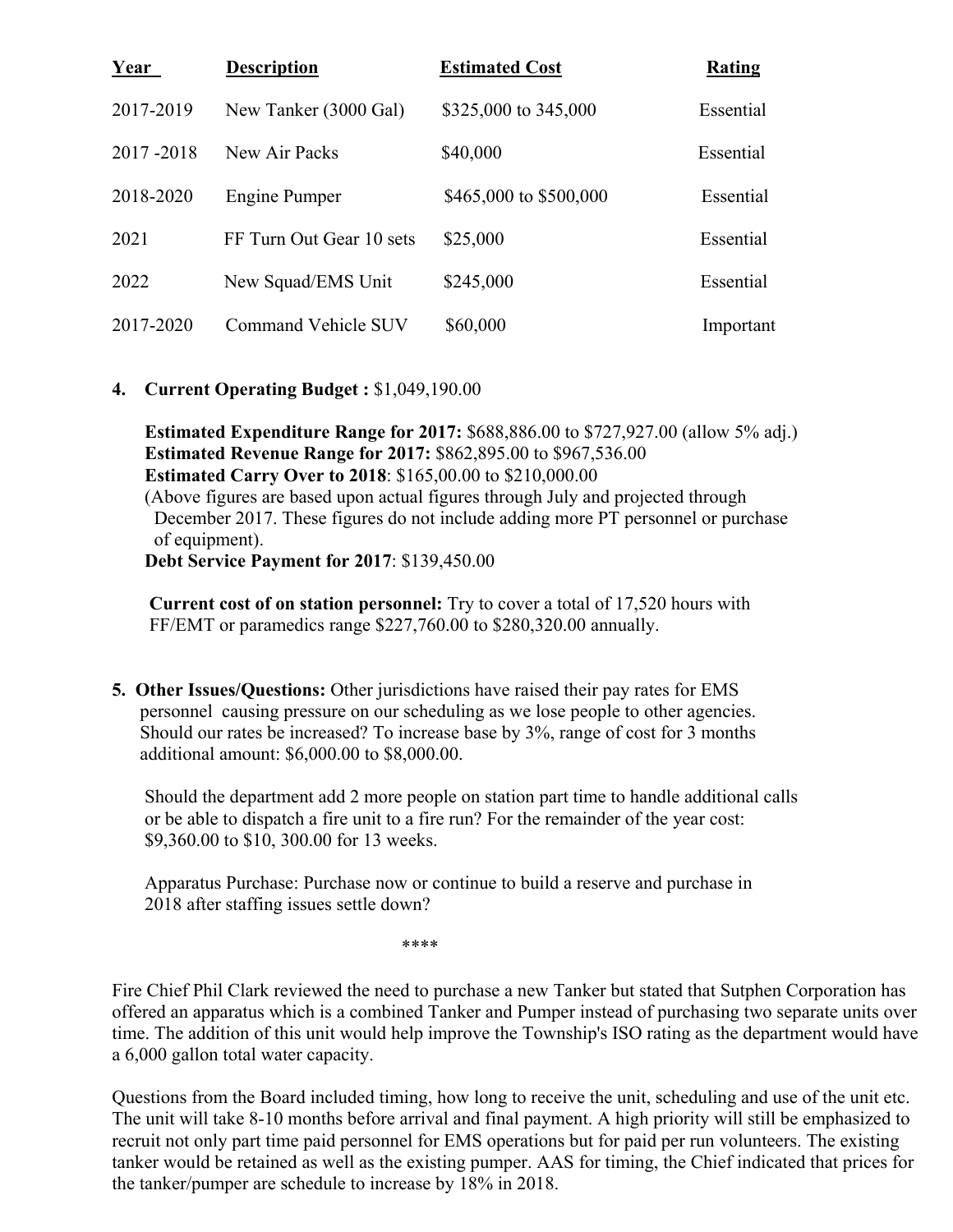| <u>Year</u> | <b>Description</b>       | <b>Estimated Cost</b>  | <b>Rating</b> |
|-------------|--------------------------|------------------------|---------------|
| 2017-2019   | New Tanker (3000 Gal)    | \$325,000 to 345,000   | Essential     |
| 2017-2018   | New Air Packs            | \$40,000               | Essential     |
| 2018-2020   | Engine Pumper            | \$465,000 to \$500,000 | Essential     |
| 2021        | FF Turn Out Gear 10 sets | \$25,000               | Essential     |
| 2022        | New Squad/EMS Unit       | \$245,000              | Essential     |
| 2017-2020   | Command Vehicle SUV      | \$60,000               | Important     |

#### **4. Current Operating Budget :** \$1,049,190.00

 **Estimated Expenditure Range for 2017:** \$688,886.00 to \$727,927.00 (allow 5% adj.) **Estimated Revenue Range for 2017:** \$862,895.00 to \$967,536.00 **Estimated Carry Over to 2018**: \$165,00.00 to \$210,000.00 (Above figures are based upon actual figures through July and projected through December 2017. These figures do not include adding more PT personnel or purchase of equipment).  **Debt Service Payment for 2017**: \$139,450.00

 **Current cost of on station personnel:** Try to cover a total of 17,520 hours with FF/EMT or paramedics range \$227,760.00 to \$280,320.00 annually.

**5. Other Issues/Questions:** Other jurisdictions have raised their pay rates for EMS personnel causing pressure on our scheduling as we lose people to other agencies. Should our rates be increased? To increase base by 3%, range of cost for 3 months additional amount: \$6,000.00 to \$8,000.00.

 Should the department add 2 more people on station part time to handle additional calls or be able to dispatch a fire unit to a fire run? For the remainder of the year cost: \$9,360.00 to \$10, 300.00 for 13 weeks.

 Apparatus Purchase: Purchase now or continue to build a reserve and purchase in 2018 after staffing issues settle down?

\*\*\*\*

Fire Chief Phil Clark reviewed the need to purchase a new Tanker but stated that Sutphen Corporation has offered an apparatus which is a combined Tanker and Pumper instead of purchasing two separate units over time. The addition of this unit would help improve the Township's ISO rating as the department would have a 6,000 gallon total water capacity.

Questions from the Board included timing, how long to receive the unit, scheduling and use of the unit etc. The unit will take 8-10 months before arrival and final payment. A high priority will still be emphasized to recruit not only part time paid personnel for EMS operations but for paid per run volunteers. The existing tanker would be retained as well as the existing pumper. AAS for timing, the Chief indicated that prices for the tanker/pumper are schedule to increase by 18% in 2018.